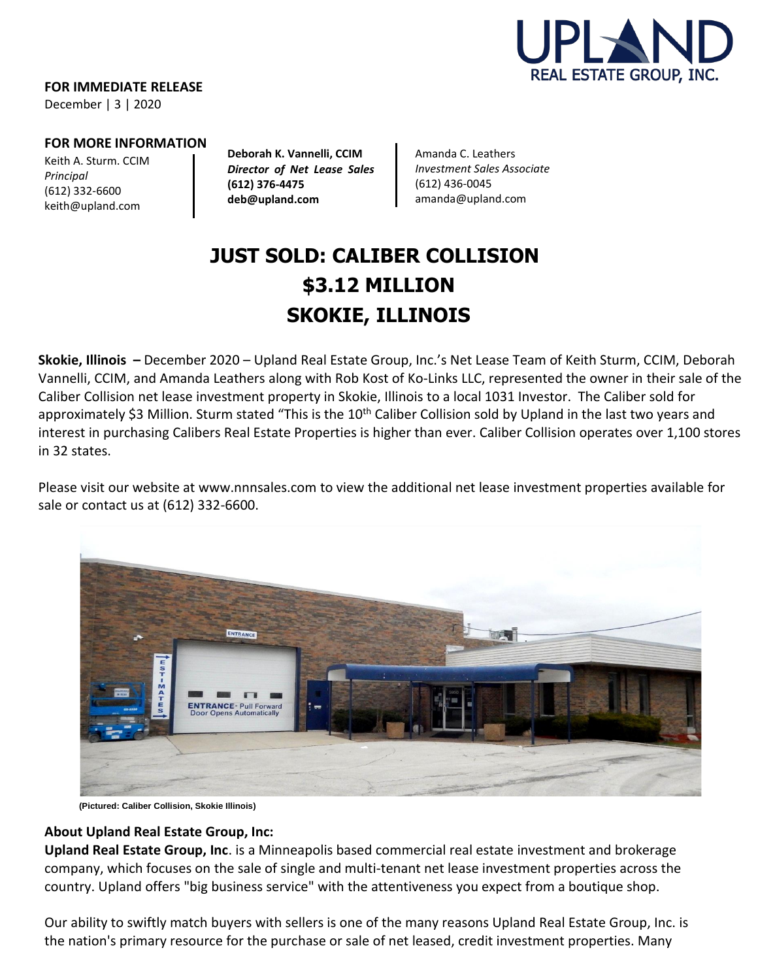

**FOR IMMEDIATE RELEASE**

December | 3 | 2020

#### **FOR MORE INFORMATION**

Keith A. Sturm. CCIM *Principal* (612) 332-6600 [keith@upland.com](mailto:keith@upland.com)

**Deborah K. Vannelli, CCIM** *Director of Net Lease Sales*  **(612) 376-4475 deb@upland.com**

Amanda C. Leathers *Investment Sales Associate* (612) 436-0045 [amanda@upland.com](mailto:amanda@upland.com)

# **JUST SOLD: CALIBER COLLISION \$3.12 MILLION SKOKIE, ILLINOIS**

**Skokie, Illinois –** December 2020 – Upland Real Estate Group, Inc.'s Net Lease Team of Keith Sturm, CCIM, Deborah Vannelli, CCIM, and Amanda Leathers along with Rob Kost of Ko-Links LLC, represented the owner in their sale of the Caliber Collision net lease investment property in Skokie, Illinois to a local 1031 Investor. The Caliber sold for approximately \$3 Million. Sturm stated "This is the  $10<sup>th</sup>$  Caliber Collision sold by Upland in the last two years and interest in purchasing Calibers Real Estate Properties is higher than ever. Caliber Collision operates over 1,100 stores in 32 states.

Please visit our website at [www.nnnsales.com](http://www.nnnsales.com/) to view the additional net lease investment properties available for sale or contact us at (612) 332-6600.



 **(Pictured: Caliber Collision, Skokie Illinois)**

### **About Upland Real Estate Group, Inc:**

**Upland Real Estate Group, Inc**. is a Minneapolis based commercial real estate investment and brokerage company, which focuses on the sale of single and multi-tenant net lease investment properties across the country. Upland offers "big business service" with the attentiveness you expect from a boutique shop.

Our ability to swiftly match buyers with sellers is one of the many reasons Upland Real Estate Group, Inc. is the nation's primary resource for the purchase or sale of net leased, credit investment properties. Many